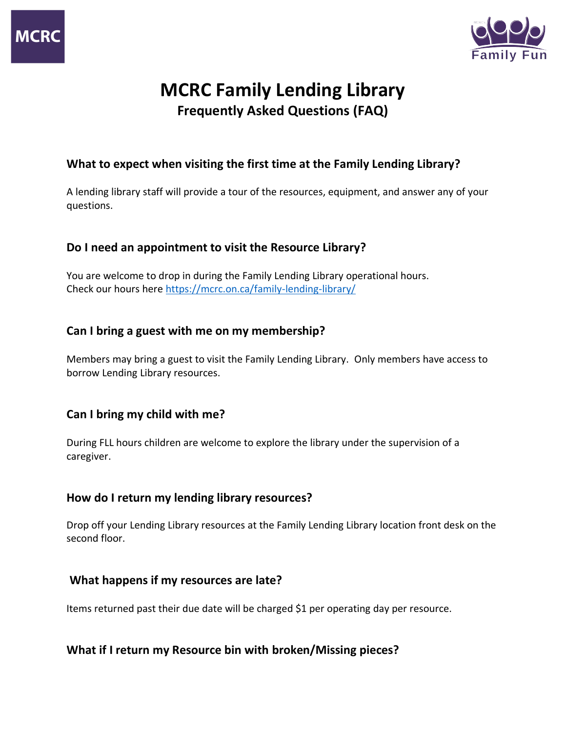

# **MCRC Family Lending Library Frequently Asked Questions (FAQ)**

## **What to expect when visiting the first time at the Family Lending Library?**

A lending library staff will provide a tour of the resources, equipment, and answer any of your questions.

## **Do I need an appointment to visit the Resource Library?**

You are welcome to drop in during the Family Lending Library operational hours. Check our hours here<https://mcrc.on.ca/family-lending-library/>

### **Can I bring a guest with me on my membership?**

Members may bring a guest to visit the Family Lending Library. Only members have access to borrow Lending Library resources.

### **Can I bring my child with me?**

During FLL hours children are welcome to explore the library under the supervision of a caregiver.

### **How do I return my lending library resources?**

Drop off your Lending Library resources at the Family Lending Library location front desk on the second floor.

### **What happens if my resources are late?**

Items returned past their due date will be charged \$1 per operating day per resource.

### **What if I return my Resource bin with broken/Missing pieces?**